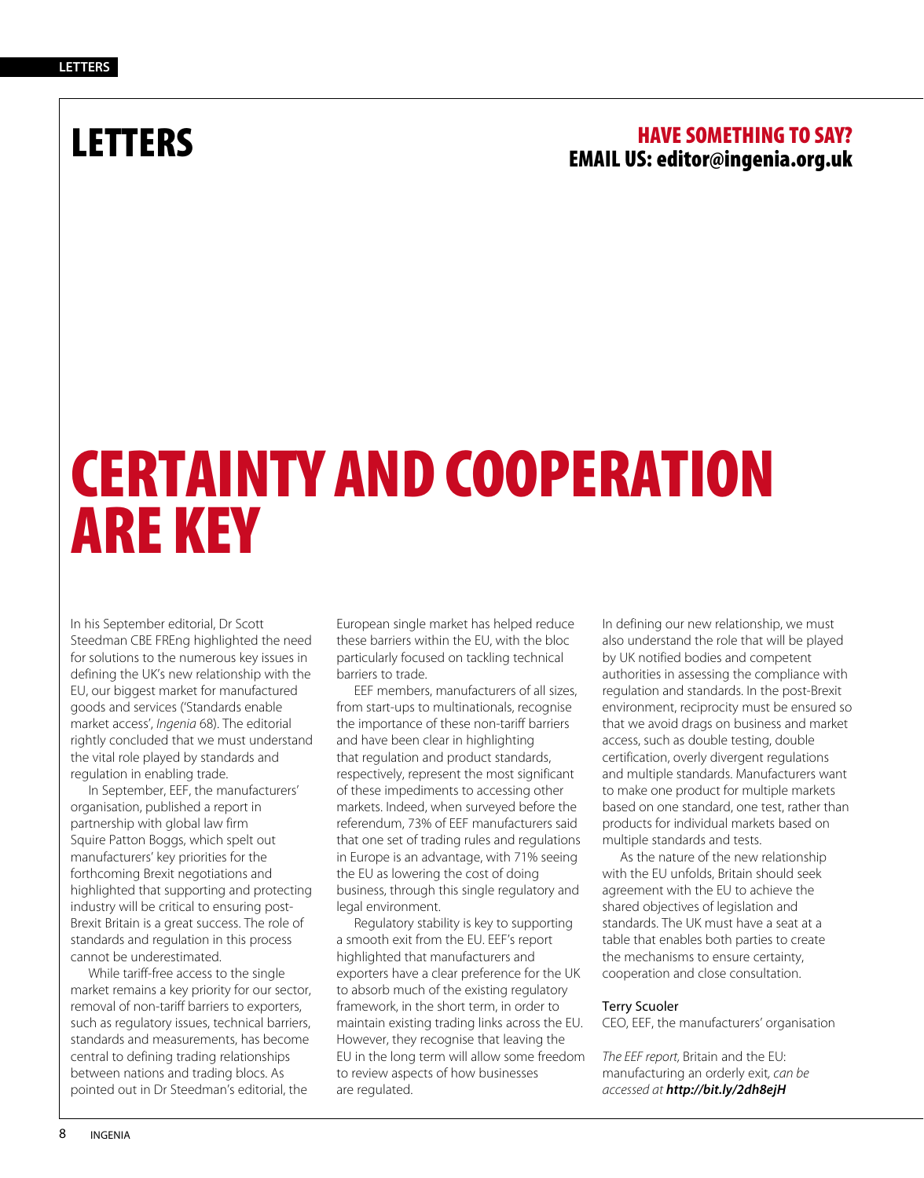### LETTERS HAVE SOMETHING TO SAY? EMAIL US: editor@ingenia.org.uk

## CERTAINTY AND COOPERATION ARE KEY

In his September editorial, Dr Scott Steedman CBE FREng highlighted the need for solutions to the numerous key issues in defining the UK's new relationship with the EU, our biggest market for manufactured goods and services ('Standards enable market access', *Ingenia* 68). The editorial rightly concluded that we must understand the vital role played by standards and regulation in enabling trade.

In September, EEF, the manufacturers' organisation, published a report in partnership with global law firm Squire Patton Boggs, which spelt out manufacturers' key priorities for the forthcoming Brexit negotiations and highlighted that supporting and protecting industry will be critical to ensuring post-Brexit Britain is a great success. The role of standards and regulation in this process cannot be underestimated.

While tariff-free access to the single market remains a key priority for our sector, removal of non-tariff barriers to exporters, such as regulatory issues, technical barriers, standards and measurements, has become central to defining trading relationships between nations and trading blocs. As pointed out in Dr Steedman's editorial, the

European single market has helped reduce these barriers within the EU, with the bloc particularly focused on tackling technical barriers to trade.

EEF members, manufacturers of all sizes, from start-ups to multinationals, recognise the importance of these non-tariff barriers and have been clear in highlighting that regulation and product standards, respectively, represent the most significant of these impediments to accessing other markets. Indeed, when surveyed before the referendum, 73% of EEF manufacturers said that one set of trading rules and regulations in Europe is an advantage, with 71% seeing the EU as lowering the cost of doing business, through this single regulatory and legal environment.

Regulatory stability is key to supporting a smooth exit from the EU. EEF's report highlighted that manufacturers and exporters have a clear preference for the UK to absorb much of the existing regulatory framework, in the short term, in order to maintain existing trading links across the EU. However, they recognise that leaving the EU in the long term will allow some freedom to review aspects of how businesses are regulated.

In defining our new relationship, we must also understand the role that will be played by UK notified bodies and competent authorities in assessing the compliance with regulation and standards. In the post-Brexit environment, reciprocity must be ensured so that we avoid drags on business and market access, such as double testing, double certification, overly divergent regulations and multiple standards. Manufacturers want to make one product for multiple markets based on one standard, one test, rather than products for individual markets based on multiple standards and tests.

As the nature of the new relationship with the EU unfolds, Britain should seek agreement with the EU to achieve the shared objectives of legislation and standards. The UK must have a seat at a table that enables both parties to create the mechanisms to ensure certainty, cooperation and close consultation.

### Terry Scuoler

CEO, EEF, the manufacturers' organisation

*The EEF report,* Britain and the EU: manufacturing an orderly exit*, can be accessed at http://bit.ly/2dh8ejH*